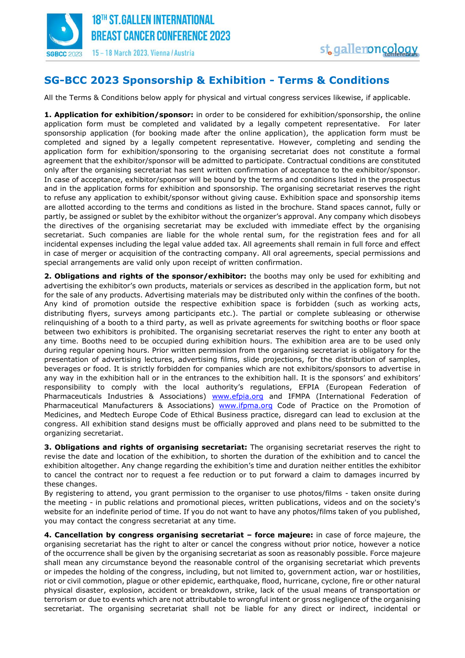

## **SG-BCC 2023 Sponsorship & Exhibition - Terms & Conditions**

All the Terms & Conditions below apply for physical and virtual congress services likewise, if applicable.

**1. Application for exhibition/sponsor:** in order to be considered for exhibition/sponsorship, the online application form must be completed and validated by a legally competent representative. For later sponsorship application (for booking made after the online application), the application form must be completed and signed by a legally competent representative. However, completing and sending the application form for exhibition/sponsoring to the organising secretariat does not constitute a formal agreement that the exhibitor/sponsor will be admitted to participate. Contractual conditions are constituted only after the organising secretariat has sent written confirmation of acceptance to the exhibitor/sponsor. In case of acceptance, exhibitor/sponsor will be bound by the terms and conditions listed in the prospectus and in the application forms for exhibition and sponsorship. The organising secretariat reserves the right to refuse any application to exhibit/sponsor without giving cause. Exhibition space and sponsorship items are allotted according to the terms and conditions as listed in the brochure. Stand spaces cannot, fully or partly, be assigned or sublet by the exhibitor without the organizer's approval. Any company which disobeys the directives of the organising secretariat may be excluded with immediate effect by the organising secretariat. Such companies are liable for the whole rental sum, for the registration fees and for all incidental expenses including the legal value added tax. All agreements shall remain in full force and effect in case of merger or acquisition of the contracting company. All oral agreements, special permissions and special arrangements are valid only upon receipt of written confirmation.

**2. Obligations and rights of the sponsor/exhibitor:** the booths may only be used for exhibiting and advertising the exhibitor's own products, materials or services as described in the application form, but not for the sale of any products. Advertising materials may be distributed only within the confines of the booth. Any kind of promotion outside the respective exhibition space is forbidden (such as working acts, distributing flyers, surveys among participants etc.). The partial or complete subleasing or otherwise relinquishing of a booth to a third party, as well as private agreements for switching booths or floor space between two exhibitors is prohibited. The organising secretariat reserves the right to enter any booth at any time. Booths need to be occupied during exhibition hours. The exhibition area are to be used only during regular opening hours. Prior written permission from the organising secretariat is obligatory for the presentation of advertising lectures, advertising films, slide projections, for the distribution of samples, beverages or food. It is strictly forbidden for companies which are not exhibitors/sponsors to advertise in any way in the exhibition hall or in the entrances to the exhibition hall. It is the sponsors' and exhibitors' responsibility to comply with the local authority's regulations, EFPIA (European Federation of Pharmaceuticals Industries & Associations) [www.efpia.org](http://www.efpia.org/) and IFMPA (International Federation of Pharmaceutical Manufacturers & Associations) [www.ifpma.org](http://www.ifpma.org/) Code of Practice on the Promotion of Medicines, and Medtech Europe Code of Ethical Business practice, disregard can lead to exclusion at the congress. All exhibition stand designs must be officially approved and plans need to be submitted to the organizing secretariat.

**3. Obligations and rights of organising secretariat:** The organising secretariat reserves the right to revise the date and location of the exhibition, to shorten the duration of the exhibition and to cancel the exhibition altogether. Any change regarding the exhibition's time and duration neither entitles the exhibitor to cancel the contract nor to request a fee reduction or to put forward a claim to damages incurred by these changes.

By registering to attend, you grant permission to the organiser to use photos/films - taken onsite during the meeting - in public relations and promotional pieces, written publications, videos and on the society's website for an indefinite period of time. If you do not want to have any photos/films taken of you published, you may contact the congress secretariat at any time.

**4. Cancellation by congress organising secretariat – force majeure:** in case of force majeure, the organising secretariat has the right to alter or cancel the congress without prior notice, however a notice of the occurrence shall be given by the organising secretariat as soon as reasonably possible. Force majeure shall mean any circumstance beyond the reasonable control of the organising secretariat which prevents or impedes the holding of the congress, including, but not limited to, government action, war or hostilities, riot or civil commotion, plague or other epidemic, earthquake, flood, hurricane, cyclone, fire or other natural physical disaster, explosion, accident or breakdown, strike, lack of the usual means of transportation or terrorism or due to events which are not attributable to wrongful intent or gross negligence of the organising secretariat. The organising secretariat shall not be liable for any direct or indirect, incidental or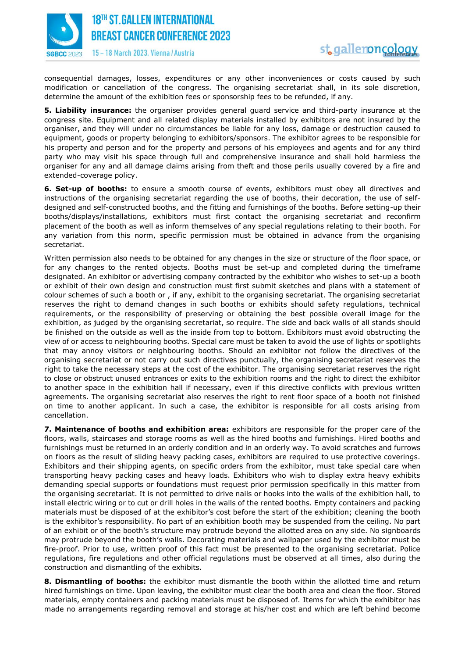

15-18 March 2023, Vienna / Austria

consequential damages, losses, expenditures or any other inconveniences or costs caused by such modification or cancellation of the congress. The organising secretariat shall, in its sole discretion, determine the amount of the exhibition fees or sponsorship fees to be refunded, if any.

**5. Liability insurance:** the organiser provides general guard service and third-party insurance at the congress site. Equipment and all related display materials installed by exhibitors are not insured by the organiser, and they will under no circumstances be liable for any loss, damage or destruction caused to equipment, goods or property belonging to exhibitors/sponsors. The exhibitor agrees to be responsible for his property and person and for the property and persons of his employees and agents and for any third party who may visit his space through full and comprehensive insurance and shall hold harmless the organiser for any and all damage claims arising from theft and those perils usually covered by a fire and extended-coverage policy.

**6. Set-up of booths:** to ensure a smooth course of events, exhibitors must obey all directives and instructions of the organising secretariat regarding the use of booths, their decoration, the use of selfdesigned and self-constructed booths, and the fitting and furnishings of the booths. Before setting-up their booths/displays/installations, exhibitors must first contact the organising secretariat and reconfirm placement of the booth as well as inform themselves of any special regulations relating to their booth. For any variation from this norm, specific permission must be obtained in advance from the organising secretariat.

Written permission also needs to be obtained for any changes in the size or structure of the floor space, or for any changes to the rented objects. Booths must be set-up and completed during the timeframe designated. An exhibitor or advertising company contracted by the exhibitor who wishes to set-up a booth or exhibit of their own design and construction must first submit sketches and plans with a statement of colour schemes of such a booth or , if any, exhibit to the organising secretariat. The organising secretariat reserves the right to demand changes in such booths or exhibits should safety regulations, technical requirements, or the responsibility of preserving or obtaining the best possible overall image for the exhibition, as judged by the organising secretariat, so require. The side and back walls of all stands should be finished on the outside as well as the inside from top to bottom. Exhibitors must avoid obstructing the view of or access to neighbouring booths. Special care must be taken to avoid the use of lights or spotlights that may annoy visitors or neighbouring booths. Should an exhibitor not follow the directives of the organising secretariat or not carry out such directives punctually, the organising secretariat reserves the right to take the necessary steps at the cost of the exhibitor. The organising secretariat reserves the right to close or obstruct unused entrances or exits to the exhibition rooms and the right to direct the exhibitor to another space in the exhibition hall if necessary, even if this directive conflicts with previous written agreements. The organising secretariat also reserves the right to rent floor space of a booth not finished on time to another applicant. In such a case, the exhibitor is responsible for all costs arising from cancellation.

**7. Maintenance of booths and exhibition area:** exhibitors are responsible for the proper care of the floors, walls, staircases and storage rooms as well as the hired booths and furnishings. Hired booths and furnishings must be returned in an orderly condition and in an orderly way. To avoid scratches and furrows on floors as the result of sliding heavy packing cases, exhibitors are required to use protective coverings. Exhibitors and their shipping agents, on specific orders from the exhibitor, must take special care when transporting heavy packing cases and heavy loads. Exhibitors who wish to display extra heavy exhibits demanding special supports or foundations must request prior permission specifically in this matter from the organising secretariat. It is not permitted to drive nails or hooks into the walls of the exhibition hall, to install electric wiring or to cut or drill holes in the walls of the rented booths. Empty containers and packing materials must be disposed of at the exhibitor's cost before the start of the exhibition; cleaning the booth is the exhibitor's responsibility. No part of an exhibition booth may be suspended from the ceiling. No part of an exhibit or of the booth's structure may protrude beyond the allotted area on any side. No signboards may protrude beyond the booth's walls. Decorating materials and wallpaper used by the exhibitor must be fire-proof. Prior to use, written proof of this fact must be presented to the organising secretariat. Police regulations, fire regulations and other official regulations must be observed at all times, also during the construction and dismantling of the exhibits.

**8. Dismantling of booths:** the exhibitor must dismantle the booth within the allotted time and return hired furnishings on time. Upon leaving, the exhibitor must clear the booth area and clean the floor. Stored materials, empty containers and packing materials must be disposed of. Items for which the exhibitor has made no arrangements regarding removal and storage at his/her cost and which are left behind become